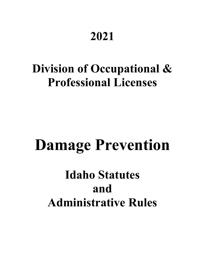# **2021**

# **Division of Occupational & Professional Licenses**

# **Damage Prevention**

# **Idaho Statutes and Administrative Rules**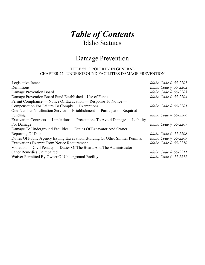# *Table of Contents* Idaho Statutes

# Damage Prevention

# TITLE 55. PROPERTY IN GENERAL CHAPTER 22. UNDERGROUND FACILITIES DAMAGE PREVENTION

| Legislative Intent                                                             | Idaho Code § 55-2201    |
|--------------------------------------------------------------------------------|-------------------------|
| Definitions                                                                    | Idaho Code § 55-2202    |
| Damage Prevention Board                                                        | Idaho Code § 55-2203    |
| Damage Prevention Board Fund Established – Use of Funds                        | Idaho Code § 55-2204    |
| Permit Compliance — Notice Of Excavation — Response To Notice —                |                         |
| Compensation For Failure To Comply — Exemptions.                               | Idaho Code $\S$ 55-2205 |
| One-Number Notification Service — Establishment — Participation Required —     |                         |
| Funding.                                                                       | Idaho Code § 55-2206    |
| Excavation Contracts — Limitations — Precautions To Avoid Damage — Liability   |                         |
| For Damage                                                                     | Idaho Code $\S$ 55-2207 |
| Damage To Underground Facilities — Duties Of Excavator And Owner —             |                         |
| Reporting Of Data                                                              | Idaho Code $\S$ 55-2208 |
| Duties Of Public Agency Issuing Excavation, Building Or Other Similar Permits. | Idaho Code § 55-2209    |
| <b>Excavations Exempt From Notice Requirement.</b>                             | Idaho Code $\S$ 55-2210 |
| Violation — Civil Penalty — Duties Of The Board And The Administrator —        |                         |
| Other Remedies Unimpaired.                                                     | Idaho Code § 55-2211    |
| Waiver Permitted By Owner Of Underground Facility.                             | Idaho Code § 55-2212    |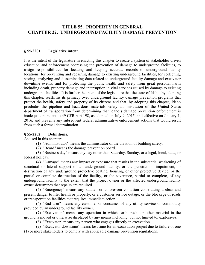# **TITLE 55. PROPERTY IN GENERAL CHAPTER 22. UNDERGROUND FACILITY DAMAGE PREVENTION**

### **§ 55-2201. Legislative intent.**

It is the intent of the legislature in enacting this chapter to create a system of stakeholder-driven education and enforcement addressing the prevention of damage to underground facilities, to assign responsibilities for locating and keeping accurate records of underground facility locations, for preventing and repairing damage to existing underground facilities, for collecting, storing, analyzing and disseminating data related to underground facility damage and excavator downtime events, and for protecting the public health and safety from great personal harm including death, property damage and interruption in vital services caused by damage to existing underground facilities. It is further the intent of the legislature that the state of Idaho, by adopting this chapter, reaffirms its primacy over underground facility damage prevention programs that protect the health, safety and property of its citizens and that, by adopting this chapter, Idaho precludes the pipeline and hazardous materials safety administration of the United States department of transportation from determining that Idaho's damage prevention enforcement is inadequate pursuant to 49 CFR part 198, as adopted on July 9, 2015, and effective on January 1, 2016, and prevents any subsequent federal administrative enforcement actions that would result from such a formal determination.

#### **§ 55-2202. Definitions.**

As used in this chapter:

(1) "Administrator" means the administrator of the division of building safety.

(2) "Board" means the damage prevention board.

(3) "Business day" means any day other than Saturday, Sunday, or a legal, local, state, or federal holiday.

(4) "Damage" means any impact or exposure that results in the substantial weakening of structural or lateral support of an underground facility, or the penetration, impairment, or destruction of any underground protective coating, housing, or other protective device, or the partial or complete destruction of the facility, or the severance, partial or complete, of any underground facility to the extent that the project owner or the affected underground facility owner determines that repairs are required.

(5) "Emergency" means any sudden or unforeseen condition constituting a clear and present danger to life, health or property, or a customer service outage, or the blockage of roads or transportation facilities that requires immediate action.

(6) "End user" means any customer or consumer of any utility service or commodity provided by an underground facility owner.

(7) "Excavation" means any operation in which earth, rock, or other material in the ground is moved or otherwise displaced by any means including, but not limited to, explosives.

(8) "Excavator" means any person who engages directly in excavation.

(9) "Excavator downtime" means lost time for an excavation project due to failure of one (1) or more stakeholders to comply with applicable damage prevention regulations.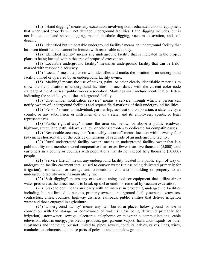(10) "Hand digging" means any excavation involving nonmechanized tools or equipment that when used properly will not damage underground facilities. Hand digging includes, but is not limited to, hand shovel digging, manual posthole digging, vacuum excavation, and soft digging.

(11) "Identified but unlocatable underground facility" means an underground facility that has been identified but cannot be located with reasonable accuracy.

(12) "Identified facility" means any underground facility that is indicated in the project plans as being located within the area of proposed excavation.

(13) "Locatable underground facility" means an underground facility that can be fieldmarked with reasonable accuracy.

(14) "Locator" means a person who identifies and marks the location of an underground facility owned or operated by an underground facility owner.

(15) "Marking" means the use of stakes, paint, or other clearly identifiable materials to show the field location of underground facilities, in accordance with the current color code standard of the American public works association. Markings shall include identification letters indicating the specific type of the underground facility.

(16) "One-number notification service" means a service through which a person can notify owners of underground facilities and request field-marking of their underground facilities.

(17) "Person" means an individual, partnership, association, corporation, a state, a city, a county, or any subdivision or instrumentality of a state, and its employees, agents, or legal representatives.

(18) "Public right-of-way" means the area on, below, or above a public roadway, highway, street, lane, path, sidewalk, alley, or other right-of-way dedicated for compatible uses.

(19) "Reasonable accuracy" or "reasonably accurate" means location within twenty-four (24) inches horizontally of the outside dimensions of each side of an underground facility.

(20) "Rural underground facility owner" means an underground facility owner that is a public utility or a member-owned cooperative that serves fewer than five thousand (5,000) total customers in a county or counties with populations that do not exceed fifty thousand (50,000) people.

(21) "Service lateral" means any underground facility located in a public right-of-way or underground facility easement that is used to convey water (unless being delivered primarily for irrigation), stormwater, or sewage and connects an end user's building or property to an underground facility owner's main utility line.

(22) "Soft digging" means any excavation using tools or equipment that utilize air or water pressure as the direct means to break up soil or earth for removal by vacuum excavation.

(23) "Stakeholder" means any party with an interest in protecting underground facilities including, but not limited to, persons, property owners, underground facility owners, excavators, contractors, cities, counties, highway districts, railroads, public entities that deliver irrigation water and those engaged in agriculture.

(24) "Underground facility" means any item buried or placed below ground for use in connection with the storage or conveyance of water (unless being delivered primarily for irrigation), stormwater, sewage, electronic, telephonic or telegraphic communications, cable television, electric energy, petroleum products, gas, gaseous vapors, hazardous liquids, or other substances and including, but not limited to, pipes, sewers, conduits, cables, valves, lines, wires, manholes, attachments, and those parts of poles or anchors below ground.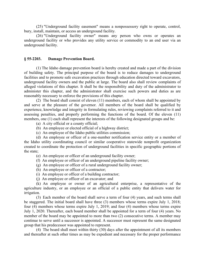(25) "Underground facility easement" means a nonpossessory right to operate, control, bury, install, maintain, or access an underground facility.

(26) "Underground facility owner" means any person who owns or operates an underground facility or who provides any utility service or commodity to an end user via an underground facility.

#### **§ 55-2203. Damage Prevention Board.**

(1) The Idaho damage prevention board is hereby created and made a part of the division of building safety. The principal purpose of the board is to reduce damages to underground facilities and to promote safe excavation practices through education directed toward excavators, underground facility owners and the public at large. The board also shall review complaints of alleged violations of this chapter. It shall be the responsibility and duty of the administrator to administer this chapter, and the administrator shall exercise such powers and duties as are reasonably necessary to enforce the provisions of this chapter.

(2) The board shall consist of eleven (11) members, each of whom shall be appointed by and serve at the pleasure of the governor. All members of the board shall be qualified by experience, knowledge and integrity in formulating rules, reviewing complaints referred to it and assessing penalties, and properly performing the functions of the board. Of the eleven (11) members, one (1) each shall represent the interests of the following designated groups and be:

- (a) A city official or a county official;
- (b) An employee or elected official of a highway district;
- (c) An employee of the Idaho public utilities commission;

(d) An employee or officer of a one-number notification service entity or a member of the Idaho utility coordinating council or similar cooperative statewide nonprofit organization created to coordinate the protection of underground facilities in specific geographic portions of the state;

- (e) An employee or officer of an underground facility owner;
- (f) An employee or officer of an underground pipeline facility owner;
- (g) An employee or officer of a rural underground facility owner;
- (h) An employee or officer of a contractor;
- (i) An employee or officer of a building contractor;
- (j) An employee or officer of an excavator; and

(k) An employee or owner of an agricultural enterprise, a representative of the agriculture industry, or an employee or an official of a public entity that delivers water for irrigation.

(3) Each member of the board shall serve a term of four (4) years, and such terms shall be staggered. The initial board shall have three (3) members whose terms expire July 1, 2018; four (4) members whose terms expire July 1, 2019; and four (4) members whose terms expire July 1, 2020. Thereafter, each board member shall be appointed for a term of four (4) years. No member of the board may be appointed to more than two (2) consecutive terms. A member may continue to serve until a successor is appointed. A successor must represent the same designated group that his predecessor was appointed to represent.

(4) The board shall meet within thirty (30) days after the appointment of all its members and thereafter at such other times as may be expedient and necessary for the proper performance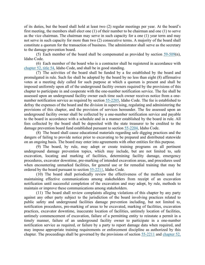of its duties, but the board shall hold at least two (2) regular meetings per year. At the board's first meeting, the members shall elect one (1) of their number to be chairman and one (1) to serve as the vice chairman. The chairman may serve in such capacity for a one (1) year term and may not serve in such capacity for more than two (2) consecutive terms. A majority of the board shall constitute a quorum for the transaction of business. The administrator shall serve as the secretary to the damage prevention board.

(5) Each member of the board shall be compensated as provided by section [59-509\(](https://legislature.idaho.gov/statutesrules/idstat/Title59/T59CH5/SECT59-509)n), Idaho Code.

(6) Each member of the board who is a contractor shall be registered in accordance with [chapter 52, title 54,](https://legislature.idaho.gov/statutesrules/idstat/Title54/T54CH52) Idaho Code, and shall be in good standing.

(7) The activities of the board shall be funded by a fee established by the board and promulgated in rule. Such fee shall be adopted by the board by no less than eight (8) affirmative votes at a meeting duly called for such purpose at which a quorum is present and shall be imposed uniformly upon all of the underground facility owners required by the provisions of this chapter to participate in and cooperate with the one-number notification service. The fee shall be assessed upon an underground facility owner each time such owner receives notice from a onenumber notification service as required by section [55-2205,](https://legislature.idaho.gov/statutesrules/idstat/Title55/T55CH22/SECT55-2205) Idaho Code. The fee is established to defray the expenses of the board and the division in supervising, regulating and administering the provisions of this chapter, and the provision of services hereunder. The fee assessed upon an underground facility owner shall be collected by a one-number notification service and payable to the board in accordance with a schedule and in a manner established by the board in rule. All fees collected by the board shall be deposited with the state treasurer to be credited to the damage prevention board fund established pursuant to section [55-2204,](https://legislature.idaho.gov/statutesrules/idstat/Title55/T55CH22/SECT55-2204) Idaho Code.

(8) The board shall cause educational materials regarding safe digging practices and the dangers of failing to provide notice prior to excavating to be prepared and distributed statewide on an ongoing basis. The board may enter into agreements with other entities for this purpose.

(9) The board, by rule, may adopt or create training programs on all pertinent underground damage prevention topics, which may include, but are not limited to, safe excavation, locating and marking of facilities, determining facility damage, emergency procedures, excavator downtime, pre-marking of intended excavation areas, and procedures used when encountering unmarked facilities, for general use or for remedial training that may be ordered by the board pursuant to section [55-2211,](https://legislature.idaho.gov/statutesrules/idstat/Title55/T55CH22/SECT55-2211) Idaho Code.

(10) The board shall periodically review the effectiveness of the methods used for maintaining effective communications among stakeholders from receipt of an excavation notification until successful completion of the excavation and may adopt, by rule, methods to maintain or improve these communications among stakeholders.

(11) The board shall review complaints alleging violations of this chapter by any party against any other party subject to the jurisdiction of the board involving practices related to public safety and underground facilities damage prevention including, but not limited to, notification procedures, pre-marking of areas to be excavated, marking of facilities, excavation practices, excavator downtime, inaccurate location of facilities, untimely location of facilities, untimely commencement of excavation, failure of a permitting entity to reinstate a permit in a timely manner, failure of an underground facility owner to participate in a one-number notification service as required, or failure by a party to report damage data when required, and may impose appropriate training requirements or enforcement discipline as authorized by this chapter. The proceedings shall be governed by the provisions of section [55-2211](https://legislature.idaho.gov/statutesrules/idstat/Title55/T55CH22/SECT55-2211) and [chapter 52,](https://legislature.idaho.gov/statutesrules/idstat/Title67/T67CH52)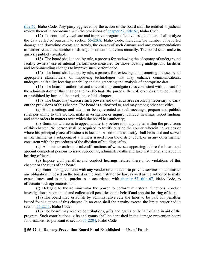[title 67,](https://legislature.idaho.gov/statutesrules/idstat/Title67/T67CH52) Idaho Code. Any party aggrieved by the action of the board shall be entitled to judicial review thereof in accordance with the provisions of [chapter 52, title 67,](https://legislature.idaho.gov/statutesrules/idstat/Title67/T67CH52) Idaho Code.

(12) To continually evaluate and improve program effectiveness, the board shall analyze the data collected pursuant to section [55-2208,](https://legislature.idaho.gov/statutesrules/idstat/Title55/T55CH22/SECT55-2208) Idaho Code, including the number of reported damage and downtime events and trends, the causes of such damage and any recommendations to further reduce the number of damage or downtime events annually. The board shall make its analysis publicly available.

(13) The board shall adopt, by rule, a process for reviewing the adequacy of underground facility owners' use of internal performance measures for those locating underground facilities and recommending changes to improve such performance.

(14) The board shall adopt, by rule, a process for reviewing and promoting the use, by all appropriate stakeholders, of improving technologies that may enhance communications, underground facility locating capability and the gathering and analysis of appropriate data.

(15) The board is authorized and directed to promulgate rules consistent with this act for the administration of this chapter and to effectuate the purpose thereof, except as may be limited or prohibited by law and the provisions of this chapter.

(16) The board may exercise such powers and duties as are reasonably necessary to carry out the provisions of this chapter. The board is authorized to, and may among other activities:

(a) Hold meetings and attend or be represented at such meetings, prepare and publish rules pertaining to this section, make investigation or inquiry, conduct hearings, report findings and enter orders in matters over which the board has authority;

(b) Summon witnesses to appear and testify before it on any matter within the provisions of this chapter. No person shall be required to testify outside the county wherein he resides or where his principal place of business is located. A summons to testify shall be issued and served in like manner as a subpoena of a witness issued from the district court, or in any other manner consistent with the procedures of the division of building safety;

(c) Administer oaths and take affirmations of witnesses appearing before the board and appoint competent persons to issue subpoenas, administer oaths and take testimony, and appoint hearing officers;

(d) Impose civil penalties and conduct hearings related thereto for violations of this chapter or the rules of the board;

(e) Enter into agreements with any vendor or contractor to provide services or administer any obligation imposed on the board or the administrator by law, as well as the authority to make expenditures, and to make purchases in accordance with [chapter 57, title 67,](https://legislature.idaho.gov/statutesrules/idstat/Title67/T67CH57) Idaho Code, to effectuate such agreements; and

(f) Delegate to the administrator the power to perform ministerial functions, conduct investigations, recommend and collect civil penalties on its behalf and appoint hearing officers.

(17) The board may establish by administrative rule the fines to be paid for penalties issued for violations of this chapter. In no case shall the penalty exceed the limits prescribed in section [55-2211,](https://legislature.idaho.gov/statutesrules/idstat/Title55/T55CH22/SECT55-2211) Idaho Code.

(18) The board may receive contributions, gifts and grants on behalf of and in aid of the program. Such contributions, gifts and grants shall be deposited in the damage prevention board fund established pursuant to section [55-2204,](https://legislature.idaho.gov/statutesrules/idstat/Title55/T55CH22/SECT55-2204) Idaho Code.

#### **§ 55-2204. Damage Prevention Board Fund Established — Use of Funds.**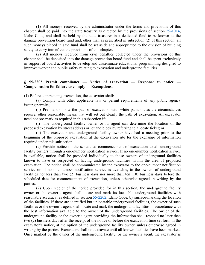(1) All moneys received by the administrator under the terms and provisions of this chapter shall be paid into the state treasury as directed by the provisions of section [59-1014,](https://legislature.idaho.gov/statutesrules/idstat/Title59/T59CH10/SECT59-1014) Idaho Code, and shall be held by the state treasurer in a dedicated fund to be known as the damage prevention board fund and, other than as prescribed in subsection (2) of this section, all such moneys placed in said fund shall be set aside and appropriated to the division of building safety to carry into effect the provisions of this chapter.

(2) All moneys received from civil penalties collected under the provisions of this chapter shall be deposited into the damage prevention board fund and shall be spent exclusively in support of board activities to develop and disseminate educational programming designed to improve worker and public safety relating to excavation and underground facilities.

## **§ 55-2205. Permit compliance — Notice of excavation — Response to notice — Compensation for failure to comply — Exemptions.**

(1) Before commencing excavation, the excavator shall:

(a) Comply with other applicable law or permit requirements of any public agency issuing permits;

(b) Pre-mark on-site the path of excavation with white paint or, as the circumstances require, other reasonable means that will set out clearly the path of excavation. An excavator need not pre-mark as required in this subsection if:

(i) The underground facility owner or its agent can determine the location of the proposed excavation by street address or lot and block by referring to a locate ticket; or

(ii) The excavator and underground facility owner have had a meeting prior to the beginning of the proposed excavation at the excavation site for the exchange of information required under this subsection.

(c) Provide notice of the scheduled commencement of excavation to all underground facility owners through a one-number notification service. If no one-number notification service is available, notice shall be provided individually to those owners of underground facilities known to have or suspected of having underground facilities within the area of proposed excavation. The notice shall be communicated by the excavator to the one-number notification service or, if no one-number notification service is available, to the owners of underground facilities not less than two (2) business days nor more than ten (10) business days before the scheduled date for commencement of excavation, unless otherwise agreed in writing by the parties.

(2) Upon receipt of the notice provided for in this section, the underground facility owner or the owner's agent shall locate and mark its locatable underground facilities with reasonable accuracy, as defined in section [55-2202,](https://legislature.idaho.gov/statutesrules/idstat/Title55/T55CH22/SECT55-2202) Idaho Code, by surface-marking the location of the facilities. If there are identified but unlocatable underground facilities, the owner of such facilities or the owner's agent shall locate and mark the underground facilities in accordance with the best information available to the owner of the underground facilities. The owner of the underground facility or the owner's agent providing the information shall respond no later than two (2) business days after the receipt of the notice or before the excavation time set forth in the excavator's notice, at the option of the underground facility owner, unless otherwise agreed in writing by the parties. Excavators shall not excavate until all known facilities have been marked. Once marked by the owner of the underground facility, or the owner's agent, the excavator is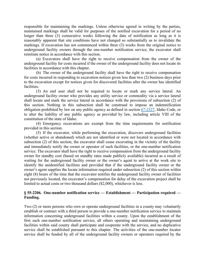responsible for maintaining the markings. Unless otherwise agreed in writing by the parties, maintained markings shall be valid for purposes of the notified excavation for a period of no longer than three (3) consecutive weeks following the date of notification as long as it is reasonably apparent that site conditions have not changed so substantially as to invalidate the markings. If excavation has not commenced within three (3) weeks from the original notice to underground facility owners through the one-number notification service, the excavator shall reinitiate notice in accordance with this section.

(a) Excavators shall have the right to receive compensation from the owner of the underground facility for costs incurred if the owner of the underground facility does not locate its facilities in accordance with this chapter.

(b) The owner of the underground facility shall have the right to receive compensation for costs incurred in responding to excavation notices given less than two (2) business days prior to the excavation except for notices given for discovered facilities after the owner has identified facilities.

(3) An end user shall not be required to locate or mark any service lateral. An underground facility owner who provides any utility service or commodity via a service lateral shall locate and mark the service lateral in accordance with the provisions of subsection (2) of this section. Nothing in this subsection shall be construed to impose an indemnification obligation prohibited by law on any public agency as defined in section [67-2327,](https://legislature.idaho.gov/statutesrules/idstat/Title67/T67CH23/SECT67-2327) Idaho Code, or to alter the liability of any public agency as provided by law, including article VIII of the constitution of the state of Idaho.

(4) Emergency excavations are exempt from the time requirements for notification provided in this section.

(5) If the excavator, while performing the excavation, discovers underground facilities (whether active or abandoned) which are not identified or were not located in accordance with subsection (2) of this section, the excavator shall cease excavating in the vicinity of the facility and immediately notify the owner or operator of such facilities, or the one-number notification service. The excavator shall have the right to receive compensation from the underground facility owner for standby cost (based on standby rates made publicly available) incurred as a result of waiting for the underground facility owner or the owner's agent to arrive at the work site to identify the unidentified facilities and provided that if the underground facility owner or the owner's agent supplies the locate information required under subsection (2) of this section within eight (8) hours of the time that the excavator notifies the underground facility owner of facilities not previously located, the excavator's compensation for delay of the excavation project shall be limited to actual costs or two thousand dollars (\$2,000), whichever is less.

# **§ 55-2206. One-number notification service — Establishment — Participation required — Funding.**

Two (2) or more persons who own or operate underground facilities in a county may voluntarily establish or contract with a third person to provide a one-number notification service to maintain information concerning underground facilities within a county. Upon the establishment of the first such one-number notification service, all others operating and maintaining underground facilities within said county shall participate and cooperate with the service, and no duplicative service shall be established pursuant to this chapter. The activities of the one-number locator service shall be funded by all of the underground facility owners or operators required by the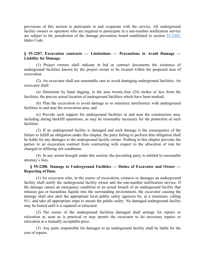provisions of this section to participate in and cooperate with the service. All underground facility owners or operators who are required to participate in a one-number notification service are subject to the jurisdiction of the damage prevention board established in section [55-2203,](https://legislature.idaho.gov/statutesrules/idstat/Title55/T55CH22/SECT55-2203) Idaho Code.

### **§ 55-2207. Excavation contracts — Limitations — Precautions to Avoid Damage — Liability for Damage.**

(1) Project owners shall indicate in bid or contract documents the existence of underground facilities known by the project owner to be located within the proposed area of excavation.

(2) An excavator shall use reasonable care to avoid damaging underground facilities. An excavator shall:

(a) Determine by hand digging, in the area twenty-four (24) inches or less from the facilities, the precise actual location of underground facilities which have been marked;

(b) Plan the excavation to avoid damage to or minimize interference with underground facilities in and near the excavation area; and

(c) Provide such support for underground facilities in and near the construction area, including during backfill operations, as may be reasonably necessary for the protection of such facilities.

(3) If an underground facility is damaged and such damage is the consequence of the failure to fulfill an obligation under this chapter, the party failing to perform that obligation shall be liable for any damages to the underground facility owner. Nothing in this chapter prevents the parties to an excavation contract from contracting with respect to the allocation of risk for changed or differing site conditions.

(4) In any action brought under this section, the prevailing party is entitled to reasonable attorney's fees.

# **§ 55-2208. Damage to Underground Facilities — Duties of Excavator and Owner — Reporting of Data.**

(1) An excavator who, in the course of excavation, contacts or damages an underground facility shall notify the underground facility owner and the one-number notification service. If the damage causes an emergency condition or an actual breach of an underground facility that releases gas or hazardous liquids into the surrounding environment, the excavator causing the damage shall also alert the appropriate local public safety agencies by, at a minimum, calling 911, and take all appropriate steps to ensure the public safety. No damaged underground facility may be buried until it is repaired or relocated.

(2) The owner of the underground facilities damaged shall arrange for repairs or relocation as soon as is practical or may permit the excavator to do necessary repairs or relocation at a mutually acceptable price.

(3) Any party responsible for damages to an underground facility shall be liable for the cost of repairs.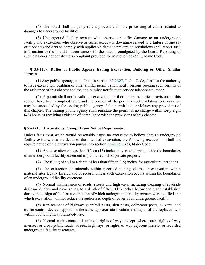(4) The board shall adopt by rule a procedure for the processing of claims related to damages to underground facilities.

(5) Underground facility owners who observe or suffer damage to an underground facility and excavators who observe or suffer excavator downtime related to a failure of one (1) or more stakeholders to comply with applicable damage prevention regulations shall report such information to the board in accordance with the rules promulgated by the board. Reporting of such data does not constitute a complaint provided for in section [55-2211,](https://legislature.idaho.gov/statutesrules/idstat/Title55/T55CH22/SECT55-2211) Idaho Code

# **§ 55-2209. Duties of Public Agency Issuing Excavation, Building or Other Similar Permits.**

(1) Any public agency, as defined in section  $67-2327$ , Idaho Code, that has the authority to issue excavation, building or other similar permits shall notify persons seeking such permits of the existence of this chapter and the one-number notification service telephone number.

(2) A permit shall not be valid for excavation until or unless the notice provisions of this section have been complied with, and the portion of the permit directly relating to excavation may be suspended by the issuing public agency if the permit holder violates any provisions of this chapter. The issuing public agency shall reinstate the permit at no charge within forty-eight (48) hours of receiving evidence of compliance with the provisions of this chapter

### **§ 55-2210. Excavations Exempt From Notice Requirement.**

Unless facts exist which would reasonably cause an excavator to believe that an underground facility exists within the depth of the intended excavation, the following excavations shall not require notice of the excavation pursuant to section  $55-2205(1)(c)$ , Idaho Code:

(1) An excavation of less than fifteen (15) inches in vertical depth outside the boundaries of an underground facility easement of public record on private property.

(2) The tilling of soil to a depth of less than fifteen (15) inches for agricultural practices.

(3) The extraction of minerals within recorded mining claims or excavation within material sites legally located and of record, unless such excavation occurs within the boundaries of an underground facility easement.

(4) Normal maintenance of roads, streets and highways, including cleaning of roadside drainage ditches and clear zones, to a depth of fifteen (15) inches below the grade established during the design of the last construction of which underground facility owners were notified and which excavation will not reduce the authorized depth of cover of an underground facility.

(5) Replacement of highway guardrail posts, sign posts, delineator posts, culverts, and traffic control device supports in the same approximate location and depth of the replaced item within public highway rights-of-way.

(6) Normal maintenance of railroad rights-of-way, except where such rights-of-way intersect or cross public roads, streets, highways, or rights-of-way adjacent thereto, or recorded underground facility easements.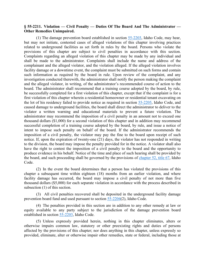### **§ 55-2211. Violation — Civil Penalty — Duties Of The Board And The Administrator — Other Remedies Unimpaired.**

(1) The damage prevention board established in section [55-2203,](https://legislature.idaho.gov/statutesrules/idstat/Title55/T55CH22/SECT55-2203) Idaho Code, may hear, but may not initiate, contested cases of alleged violations of this chapter involving practices related to underground facilities as set forth in rules by the board. Persons who violate the provisions of this chapter are subject to civil penalties in accordance with this section. Complaints regarding an alleged violation of this chapter may be made by any individual and shall be made to the administrator. Complaints shall include the name and address of the complainant and the alleged violator, and the violation alleged. If the alleged violation involves facility damage or a downtime event, the complaint must be submitted on such forms and contain such information as required by the board in rule. Upon review of the complaint, and any investigation conducted therewith, the administrator shall notify the person making the complaint and the alleged violator, in writing, of the administrator's recommended course of action to the board. The administrator shall recommend that a training course adopted by the board, by rule, be successfully completed for a first violation of this chapter, except that if the complaint is for a first violation of this chapter wherein a residential homeowner or residential tenant excavating on the lot of his residency failed to provide notice as required in section [55-2205,](https://legislature.idaho.gov/statutesrules/idstat/Title55/T55CH22/SECT55-2205) Idaho Code, and caused damage to underground facilities, the board shall direct the administrator to deliver to the violator a written warning and educational materials to prevent a future violation. The administrator may recommend the imposition of a civil penalty in an amount not to exceed one thousand dollars (\$1,000) for a second violation of this chapter and in addition may recommend successful completion of a training course adopted by the board, by rule, and issue a notice of intent to impose such penalty on behalf of the board. If the administrator recommends the imposition of a civil penalty, the violator may pay the fine to the board upon receipt of such notice. If, upon the expiration of twenty-one (21) days, the violator has not responded in writing to the division, the board may impose the penalty provided for in the notice. A violator shall also have the right to contest the imposition of a civil penalty to the board and the opportunity to produce evidence in his behalf. Notice of the time and place of such hearing shall be provided by the board, and such proceeding shall be governed by the provisions of [chapter 52, title 67,](https://legislature.idaho.gov/statutesrules/idstat/Title67/T67CH52) Idaho Code.

(2) In the event the board determines that a person has violated the provisions of this chapter a subsequent time within eighteen (18) months from an earlier violation, and where facility damage has occurred, the board may impose a civil penalty of not more than five thousand dollars (\$5,000) for each separate violation in accordance with the process described in subsection (1) of this section.

(3) All civil penalties recovered shall be deposited in the underground facility damage prevention board fund and used pursuant to section [55-2204\(](https://legislature.idaho.gov/statutesrules/idstat/Title55/T55CH22/SECT55-2204)2), Idaho Code.

(4) The penalties provided in this section are in addition to any other remedy at law or equity available to any party subject to the jurisdiction of the damage prevention board established in section [55-2203,](https://legislature.idaho.gov/statutesrules/idstat/Title55/T55CH22/SECT55-2203) Idaho Code.

(5) Unless expressly provided herein, nothing in this chapter eliminates, alters or otherwise impairs common law, statutory or other preexisting rights and duties of persons affected by the provisions of this chapter; nor does anything in this chapter, unless expressly so provided, eliminate, alter or otherwise impair other remedies, state or federal, including those at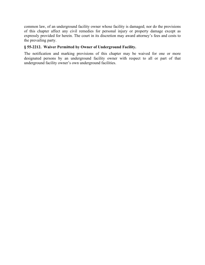common law, of an underground facility owner whose facility is damaged; nor do the provisions of this chapter affect any civil remedies for personal injury or property damage except as expressly provided for herein. The court in its discretion may award attorney's fees and costs to the prevailing party.

# **§ 55-2212. Waiver Permitted by Owner of Underground Facility.**

The notification and marking provisions of this chapter may be waived for one or more designated persons by an underground facility owner with respect to all or part of that underground facility owner's own underground facilities.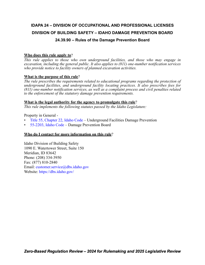# **IDAPA 24 – DIVISION OF OCCUPATIONAL AND PROFESSIONAL LICENSES DIVISION OF BUILDING SAFETY – IDAHO DAMAGE PREVENTION BOARD 24.39.90 – Rules of the Damage Prevention Board**

# **Who does this rule apply to**?

*This rule applies to those who own underground facilities, and those who may engage in excavation, including the general public. It also applies to (811) one-number notification services who provide notice to facility owners of planned excavation activities.*

# **What is the purpose of this rule**?

*The rule prescribes the requirements related to educational programs regarding the protection of underground facilities, and underground facility locating practices. It also prescribes fees for (811) one-number notification services, as well as a complaint process and civil penalties related to the enforcement of the statutory damage prevention requirements.*

# **What is the legal authority for the agency to promulgate this rule**?

*This rule implements the following statutes passed by the Idaho Legislature:*

Property in General -

- [Title 55, Chapter 22, Idaho Code –](https://legislature.idaho.gov/statutesrules/idstat/Title55/T55CH22/) Underground Facilities Damage Prevention
- [55-2203, Idaho Code](https://legislature.idaho.gov/statutesrules/idstat/Title55/T55CH22/SECT55-2203/)  Damage Prevention Board

# **Who do I contact for more information on this rule**?

Idaho Division of Building Safety 1090 E. Watertower Street, Suite 150 Meridian, ID 83642 Phone: (208) 334-3950 Fax: (877) 810-2840 Email: [customer.service@dbs.idaho.gov](mailto:customer.service@dbs.idaho.gov) Website: <https://dbs.idaho.gov/>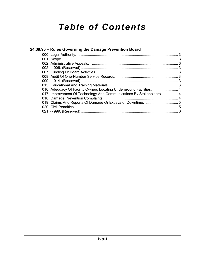# *Table of Contents*

| 24.39.90 – Rules Governing the Damage Prevention Board                |  |
|-----------------------------------------------------------------------|--|
|                                                                       |  |
|                                                                       |  |
|                                                                       |  |
|                                                                       |  |
|                                                                       |  |
|                                                                       |  |
|                                                                       |  |
|                                                                       |  |
| 016. Adequacy Of Facility Owners Locating Underground Facilities.  4  |  |
| 017. Improvement Of Technology And Communications By Stakeholders.  4 |  |
|                                                                       |  |
|                                                                       |  |
|                                                                       |  |
|                                                                       |  |
|                                                                       |  |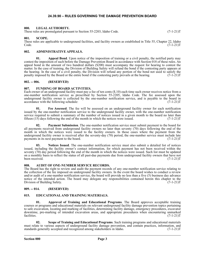#### **24.39.90 – RULES GOVERNING THE DAMAGE PREVENTION BOARD**

#### **000. LEGAL AUTHORITY.**

These rules are promulgated pursuant to Section 55-2203, Idaho Code. (7-1-21)T

#### **001. SCOPE.**

These rules are applicable to underground facilities, and facility owners as established in Title 55, Chapter 22, Idaho Code. (7-1-21)T  $\text{Code.} \tag{7-1-21}$ 

#### **002. ADMINISTRATIVE APPEALS.**

**01. Appeal Bond**. Upon notice of the imposition of training or a civil penalty, the notified party may contest the imposition of such before the Damage Prevention Board in accordance with Section 018 of these rules. An appeal bond in the amount of two hundred dollars (\$200) must accompany the request for hearing to contest the matter. In the case of training, the Division of Building Safety will refund the bond if the contesting party appears at the hearing. In the case of a civil penalty, the Division will refund any portion of the bond not used to satisfy the penalty imposed by the Board or the entire bond if the contesting party prevails at the hearing. (7-1-21 penalty imposed by the Board or the entire bond if the contesting party prevails at the hearing.

#### **002. -- 006. (RESERVED)**

#### **007. FUNDING OF BOARD ACTIVITIES.**

Each owner of an underground facility must pay a fee of ten cents (\$.10) each time such owner receives notice from a one-number notification service as prescribed by Section 55-2205, Idaho Code. The fee assessed upon the underground facility owner is collected by the one-number notification service, and is payable to the board in accordance with the following schedule:  $(7-1-21)$ accordance with the following schedule:

**01. Fee Assessed**. The fee will be assessed on an underground facility owner for each notification issued by the one-number notification service to the underground facility owner, with the one-number notification service required to submit a summary of the number of notices issued in a given month to the board no later than fifteen  $(15)$  days following the end of the month in which the notices were issued.  $(7-1-21)$ T

**02. Payment Submission**. The one-number notification service must submit payment to the board for all payments received from underground facility owners no later than seventy (70) days following the end of the month in which the notices were issued to the facility owners. In those cases where the payment from the underground facility owner is received after the seventy-day (70) period, the one-number service must include late payments in its next payment to the board. (7-1-21)T

**03. Notices Issued**. The one-number notification service must also submit a detailed list of notices issued, including the facility owner's contact information, for which payment has not been received within the seventy (70) day period following the end of the month in which the notices were issued. Such list must be updated on a monthly basis to reflect the status of all past-due payments due from underground facility owners that have not been received. (7-1-21)T

#### **008. AUDIT OF ONE-NUMBER SERVICE RECORDS.**

The Board has the right to review and audit the payment records of any one-number notification service relating to the collection of the fee imposed on underground facility owners. In the event the board wishes to conduct a review and/or audit of a one-number notification service, the board will provide no less than a five (5) business day advance notice of the intended action. The board may delegate any responsibilities contained herein this chapter to the Division of Building Safety. (7-1-21) Division of Building Safety.

#### **009. -- 014. (RESERVED)**

#### **015. EDUCATIONAL AND TRAINING MATERIALS.**

**01. Approval of Training and Educational Programs**. The Board approves acceptable training courses or programs and educational materials on relevant underground facility damage prevention topics pertaining to safe excavation, locating and marking of facilities, determining facility damage, emergency procedures, excavator downtime, pre-marking of intended excavation areas, and appropriate procedures when encountering unmarked facilities. (7-1-21)T facilities.  $(7-1-21)T$ 

**02. Scope of Training and Educational Programs**. Such training programs and educational materials must relate to various aspects of underground facility damage prevention, and contain practices, information, and standards generally accepted and recognized among stakeholders in Idaho. (7-1-21) standards generally accepted and recognized among stakeholders in Idaho.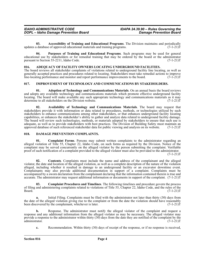**03.** Accessibility of Training and Educational Programs. The Division maintains and periodically a database of approved educational materials and training programs. (7-1-21) updates a database of approved educational materials and training programs.

**04. Purposes of Training and Educational Programs**. Such programs may be used for general educational use by stakeholders or for remedial training that may be ordered by the board or the administrator pursuant to Section 55-2211, Idaho Code. (7-1-21) pursuant to Section 55-2211, Idaho Code.

#### **016. ADEQUACY OF FACILITY OWNERS LOCATING UNDERGROUND FACILITIES.**

The board reviews all stakeholder complaints of violations related to underground facility line locating, as well as generally accepted practices and procedures related to locating. Stakeholders must take remedial actions to improve<br>line-locating performance and monitor and report performance improvements to the board. (7-1-21)T line-locating performance and monitor and report performance improvements to the board.

#### **017. IMPROVEMENT OF TECHNOLOGY AND COMMUNICATIONS BY STAKEHOLDERS.**

**01. Adoption of Technology and Communications Materials**. On an annual basis the board reviews and adopts any available technology and communications materials which promote effective underground facility locating. The board will make available any such appropriate technology and communications materials as it may determine to all stakeholders on the Division website. (7-1-21)T

**02. Availability of Technology and Communications Materials**. The board may request that stakeholders provide it with information or data related to procedures, methods, or technologies utilized by such stakeholders to enhance communications among other stakeholders, or that enhances underground facility locating capabilities, or enhances the stakeholder's ability to gather and analyze data related to underground facility damage. The board will review such technologies, methods, or materials adopted by stakeholders to ensure that such use is adequate, as well as to provide stakeholders with best practices. The Division of Building Safety must maintain an approved database of such referenced stakeholder data for public viewing and analysis on its website. (7-1approved database of such referenced stakeholder data for public viewing and analysis on its website.

#### **018. DAMAGE PREVENTION COMPLAINTS.**

**01. Complaint Forms**. Persons may submit written complaints to the administrator regarding an alleged violation of Title 55, Chapter 22, Idaho Code, on such forms as required by the Division. Notice of the complaint may be served concurrently on the alleged violator by the person submitting the complaint. Verifiable proof of such notification of a complaint provided to the alleged violator must also be provided to the administrator.  $(7-1-21)T$ 

**02. Contents**. Complaints must include the name and address of the complainant and the alleged violator, the date and location of the alleged violation, as well as a complete description of the nature of the violation alleged, including whether it resulted in damage to an underground facility or an excavator downtime event. Complainants may also provide additional documentation in support of a complaint. Complaints must be accompanied by a sworn declaration from the complainant declaring that the information contained therein is true and accurate. The administrator may request additional information or documents in support of the complaint. (7-1-21)T

**03. Complaint Procedures and Timelines**. The following timelines and procedure govern the process of filing and administering complaints related to violations of Title 55, Chapter 22, Idaho Code, and the rules of the Board. (7-1-21)T  $Board.$  (7-1-21) $T$ 

**a.** Initial Filing. Complaints must be filed with the administrator not later than thirty (30) days from the date of the alleged violation giving rise to the complaint or from the date the violation should have reasonably<br>been discovered by the complainant, whichever is later. (7-1-21) been discovered by the complainant, whichever is later.

**b.** Response. The administrator must notify the alleged violator of the complaint and request a response and any additional information from the alleged violator as may be necessary. The alleged violator may provide a response to the administrator within thirty  $(30)$  days from the date they are notified of the complaint by the administrator.  $(7-1-21)T$ administrator.

**c.** Recommendation. Within thirty (30) days of receipt of the response, or if no response is received,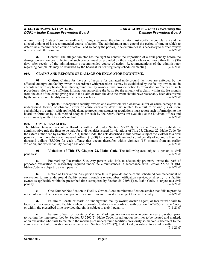#### *IDAHO ADMINISTRATIVE CODE IDAPA 24.39.90 – Rules Governing the DOPL – Idaho Damage Prevention Board Damage Prevention Board*

within fifteen (15) days from the deadline for filing a response, the administrator must notify the complainant and the alleged violator of his recommended course of action. The administrator may extend the period of time in which to determine a recommended course of action, and so notify the parties, if he determines it is necessary to further review or investigate the complaint. (7-1-21)T

**d.** Contest. The alleged violator has the right to contest the imposition of a civil penalty before the damage prevention board. Notice of such contest must be provided by the alleged violator not more than thirty (30) days after receipt of the administrator's recommended course of action. Recommendations of the administrator regarding complaints may be reviewed by the board at its next regularly scheduled meeting. (7-1-21)T

#### **019. CLAIMS AND REPORTS OF DAMAGE OR EXCAVATOR DOWNTIME.**

**01. Claims**. Claims for the cost of repairs for damaged underground facilities are enforced by the affected underground facility owner in accordance with procedures as may be established by the facility owner, and in accordance with applicable law. Underground facility owners must provide notice to excavator contractors of such procedures, along with sufficient information supporting the basis for the amount of a claim within six (6) months from the date of the event giving rise to the claim or from the date the event should have reasonably been discovered by the underground facility owner, whichever is later. (7-1-21)T

**02. Reports**. Underground facility owners and excavators who observe, suffer or cause damage to an underground facility or observe, suffer or cause excavator downtime related to a failure of one (1) or more stakeholders to comply with applicable damage prevention statutes or regulations must report such information to the board on forms or by such method adopted for such by the board. Forms are available at the Division offices and electronically on the Division's website. (7-1-21) electronically on the Division's website.

#### **020. CIVIL PENALTIES.**

The Idaho Damage Prevention Board is authorized under Section 55-2203(17), Idaho Code, to establish by administrative rule the fines to be paid for civil penalties issued for violations of Title 55, Chapter 22, Idaho Code. To the extent authorized by Section 55-2211, Idaho Code, the acts described in this section subject the violator to a civil penalty of not more than one thousand dollars (\$1,000) for a second offense and a civil penalty of not more than five thousand dollars (\$5,000) for each offense that occurs thereafter within eighteen (18) months from an earlier violation, and where facility damage has occurred. (7-1-21)T

**01.** Violations of Title 55, Chapter 22, Idaho Code. The following acts subject a person to civil penalties:  $(7-1-21)T$ penalties:  $(7-1-21)$ T

**a.** Pre-marking Excavation Site. Any person who fails to adequately pre-mark onsite the path of proposed excavation as reasonably required under the circumstances in accordance with Section 55-2205(1)(b), Idaho Code, is subject to a civil penalty. (7-1-21) Idaho Code, is subject to a civil penalty.

**b.** Notice of Excavation. Any person who fails to provide notice of the scheduled commencement of excavation to any underground facility owner through a one-number notification service, or directly to a facility owner, as applicable within the prescribed time as required by Section 55-2205(1)(c), Idaho Code, is subject to a civil penalty. (7-1-21)T

**c.** One-Number Notification to Facility Owner. A one-number notification service that fails to provide a scheduled excavation upon notification from an excavator is subject to a civil penalty. (7-1-21) notice of a scheduled excavation upon notification from an excavator is subject to a civil penalty.

**d.** Failure to Locate or Mark. An underground facility owner, owner's agent, or locator who fails to locate or mark underground facilities when responsible to do so in accordance with Section 55-2205(2), Idaho Code, or within the prescribed time provided therein, is subject to a civil penalty. (7-1-21) or within the prescribed time provided therein, is subject to a civil penalty.

**e.** Failure to Wait for Locate or Maintain Markings. An excavator who commences excavation prior to waiting the time prescribed by Section 55-2205(2), Idaho Code, for all known facilities to be located and marked, or an excavator who fails to maintain the markings of underground facilities previously so marked subsequent to the commencement of excavation in accordance with Section 55-2205(2), Idaho Code, is subject to a civil penalty.

 $(7-1-21)T$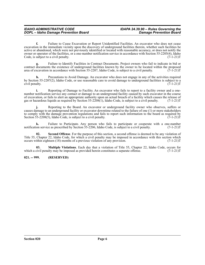**f.** Failure to Cease Excavation or Report Unidentified Facilities. An excavator who does not cease excavation in the immediate vicinity upon the discovery of underground facilities therein, whether such facilities be active or abandoned, which were not previously identified or located with reasonable accuracy, or does not notify the owner or operator of the facilities, or a one-number notification service in accordance with Section 55-2205(4), Idaho Code, is subject to a civil penalty. (7-1-21)T

**g.** Failure to Identify Facilities in Contract Documents. Project owners who fail to indicate in bid or contract documents the existence of underground facilities known by the owner to be located within the proposed area of excavation in accordance with Section 55-2207, Idaho Code, is subject to a civil penalty. (7-1-21)T

**h.** Precautions to Avoid Damage. An excavator who does not engage in any of the activities required by Section 55-2207(2), Idaho Code, or use reasonable care to avoid damage to underground facilities is subject to a civil penalty. (7-1-21)T

**i.** Reporting of Damage to Facility. An excavator who fails to report to a facility owner and a onenumber notification service any contact or damage to an underground facility caused by such excavator in the course of excavation, or fails to alert an appropriate authority upon an actual breach of a facility which causes the release of gas or hazardous liquids as required by Section 55-2208(1), Idaho Code, is subject to a civil penalty. (7-1-21)T

**j.** Reporting to the Board. An excavator or underground facility owner who observes, suffers or causes damage to an underground facility or excavator downtime related to the failure of one (1) or more stakeholders to comply with the damage prevention regulations and fails to report such information to the board as required by Section 55-2208(5), Idaho Code, is subject to a civil penalty.  $(7-1-21)T$ 

**k.** Failure to Participate. Any person who fails to participate or cooperate with a one-number ion service as prescribed by Section 55-2206, Idaho Code, is subject to a civil penalty. (7-1-21) notification service as prescribed by Section 55-2206, Idaho Code, is subject to a civil penalty.

**Second Offense**. For the purpose of this section, a second offense is deemed to be any violation of Title 55, Chapter 22, Idaho Code, for which a civil penalty may be imposed in accordance with this section which occurs within eighteen (18) months of a previous violation of any provision. (7-1-21) occurs within eighteen (18) months of a previous violation of any provision.

**03. Multiple Violations**. Each day that a violation of Title 55, Chapter 22, Idaho Code, occurs for which a civil penalty may be imposed as provided herein constitutes a separate offense. (7-1-21)T

#### **021. -- 999. (RESERVED)**